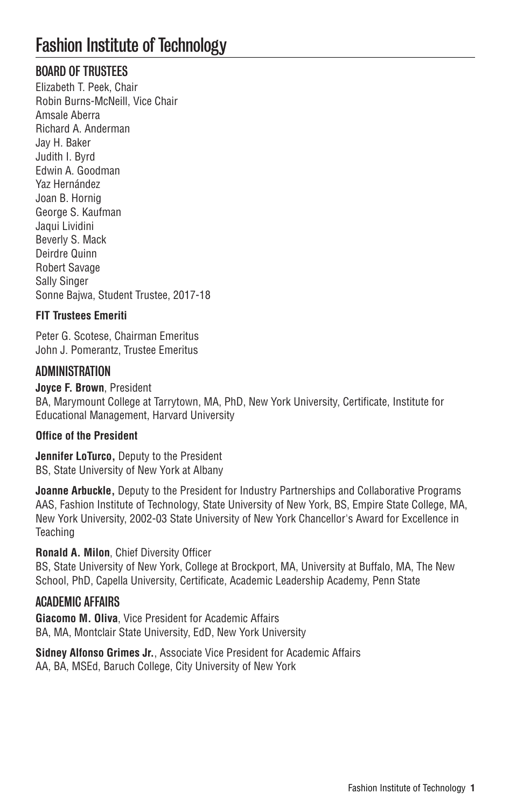# Fashion Institute of Technology

# BOARD OF TRUSTEES

Elizabeth T. Peek, Chair Robin Burns-McNeill, Vice Chair Amsale Aberra Richard A. Anderman Jay H. Baker Judith I. Byrd Edwin A. Goodman Yaz Hernández Joan B. Hornig George S. Kaufman Jaqui Lividini Beverly S. Mack Deirdre Quinn Robert Savage Sally Singer Sonne Bajwa, Student Trustee, 2017-18

#### **FIT Trustees Emeriti**

Peter G. Scotese, Chairman Emeritus John J. Pomerantz, Trustee Emeritus

# ADMINISTRATION

**Joyce F. Brown**, President BA, Marymount College at Tarrytown, MA, PhD, New York University, Certificate, Institute for Educational Management, Harvard University

#### **Office of the President**

**Jennifer LoTurco,** Deputy to the President BS, State University of New York at Albany

**Joanne Arbuckle,** Deputy to the President for Industry Partnerships and Collaborative Programs AAS, Fashion Institute of Technology, State University of New York, BS, Empire State College, MA, New York University, 2002-03 State University of New York Chancellor's Award for Excellence in **Teaching** 

#### **Ronald A. Milon**, Chief Diversity Officer

BS, State University of New York, College at Brockport, MA, University at Buffalo, MA, The New School, PhD, Capella University, Certificate, Academic Leadership Academy, Penn State

## ACADEMIC AFFAIRS

**Giacomo M. Oliva**, Vice President for Academic Affairs BA, MA, Montclair State University, EdD, New York University

**Sidney Alfonso Grimes Jr.**, Associate Vice President for Academic Affairs AA, BA, MSEd, Baruch College, City University of New York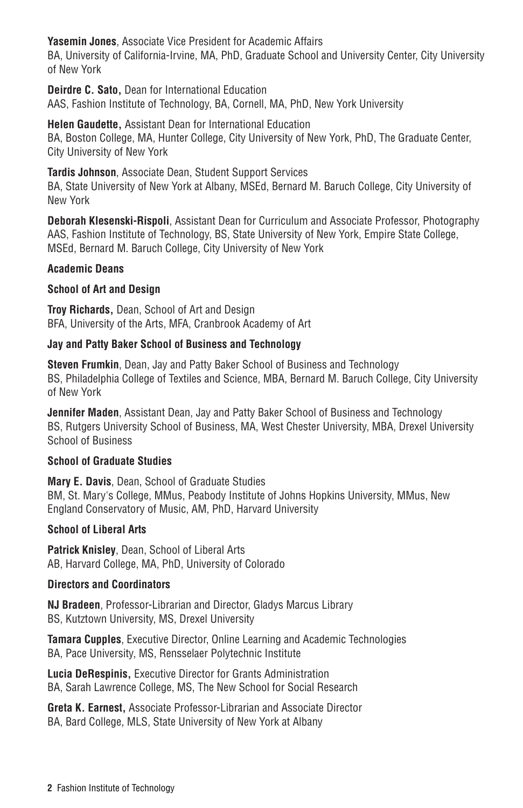**Yasemin Jones**, Associate Vice President for Academic Affairs

BA, University of California-Irvine, MA, PhD, Graduate School and University Center, City University of New York

**Deirdre C. Sato,** Dean for International Education AAS, Fashion Institute of Technology, BA, Cornell, MA, PhD, New York University

**Helen Gaudette,** Assistant Dean for International Education BA, Boston College, MA, Hunter College, City University of New York, PhD, The Graduate Center, City University of New York

**Tardis Johnson**, Associate Dean, Student Support Services BA, State University of New York at Albany, MSEd, Bernard M. Baruch College, City University of New York

**Deborah Klesenski-Rispoli**, Assistant Dean for Curriculum and Associate Professor, Photography AAS, Fashion Institute of Technology, BS, State University of New York, Empire State College, MSEd, Bernard M. Baruch College, City University of New York

#### **Academic Deans**

#### **School of Art and Design**

**Troy Richards,** Dean, School of Art and Design BFA, University of the Arts, MFA, Cranbrook Academy of Art

#### **Jay and Patty Baker School of Business and Technology**

**Steven Frumkin**, Dean, Jay and Patty Baker School of Business and Technology BS, Philadelphia College of Textiles and Science, MBA, Bernard M. Baruch College, City University of New York

**Jennifer Maden**, Assistant Dean, Jay and Patty Baker School of Business and Technology BS, Rutgers University School of Business, MA, West Chester University, MBA, Drexel University School of Business

#### **School of Graduate Studies**

**Mary E. Davis**, Dean, School of Graduate Studies BM, St. Mary's College, MMus, Peabody Institute of Johns Hopkins University, MMus, New England Conservatory of Music, AM, PhD, Harvard University

#### **School of Liberal Arts**

**Patrick Knisley**, Dean, School of Liberal Arts AB, Harvard College, MA, PhD, University of Colorado

#### **Directors and Coordinators**

**NJ Bradeen**, Professor-Librarian and Director, Gladys Marcus Library BS, Kutztown University, MS, Drexel University

**Tamara Cupples**, Executive Director, Online Learning and Academic Technologies BA, Pace University, MS, Rensselaer Polytechnic Institute

**Lucia DeRespinis,** Executive Director for Grants Administration BA, Sarah Lawrence College, MS, The New School for Social Research

**Greta K. Earnest,** Associate Professor-Librarian and Associate Director BA, Bard College, MLS, State University of New York at Albany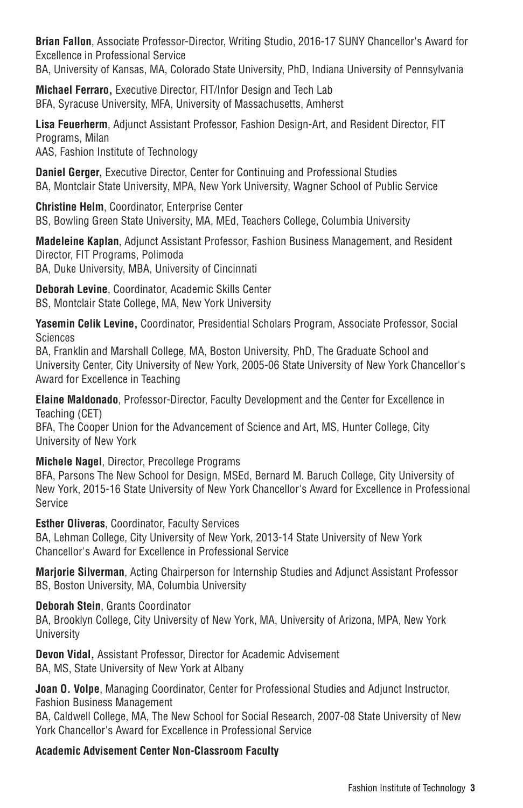**Brian Fallon**, Associate Professor-Director, Writing Studio, 2016-17 SUNY Chancellor's Award for Excellence in Professional Service

BA, University of Kansas, MA, Colorado State University, PhD, Indiana University of Pennsylvania

**Michael Ferraro,** Executive Director, FIT/Infor Design and Tech Lab BFA, Syracuse University, MFA, University of Massachusetts, Amherst

**Lisa Feuerherm**, Adjunct Assistant Professor, Fashion Design-Art, and Resident Director, FIT Programs, Milan

AAS, Fashion Institute of Technology

**Daniel Gerger,** Executive Director, Center for Continuing and Professional Studies BA, Montclair State University, MPA, New York University, Wagner School of Public Service

**Christine Helm**, Coordinator, Enterprise Center BS, Bowling Green State University, MA, MEd, Teachers College, Columbia University

**Madeleine Kaplan**, Adjunct Assistant Professor, Fashion Business Management, and Resident Director, FIT Programs, Polimoda BA, Duke University, MBA, University of Cincinnati

**Deborah Levine**, Coordinator, Academic Skills Center BS, Montclair State College, MA, New York University

**Yasemin Celik Levine,** Coordinator, Presidential Scholars Program, Associate Professor, Social **Sciences** 

BA, Franklin and Marshall College, MA, Boston University, PhD, The Graduate School and University Center, City University of New York, 2005-06 State University of New York Chancellor's Award for Excellence in Teaching

**Elaine Maldonado**, Professor-Director, Faculty Development and the Center for Excellence in Teaching (CET)

BFA, The Cooper Union for the Advancement of Science and Art, MS, Hunter College, City University of New York

**Michele Nagel**, Director, Precollege Programs

BFA, Parsons The New School for Design, MSEd, Bernard M. Baruch College, City University of New York, 2015-16 State University of New York Chancellor's Award for Excellence in Professional Service

**Esther Oliveras**, Coordinator, Faculty Services

BA, Lehman College, City University of New York, 2013-14 State University of New York Chancellor's Award for Excellence in Professional Service

**Marjorie Silverman**, Acting Chairperson for Internship Studies and Adjunct Assistant Professor BS, Boston University, MA, Columbia University

**Deborah Stein**, Grants Coordinator

BA, Brooklyn College, City University of New York, MA, University of Arizona, MPA, New York University

**Devon Vidal,** Assistant Professor, Director for Academic Advisement BA, MS, State University of New York at Albany

**Joan O. Volpe**, Managing Coordinator, Center for Professional Studies and Adjunct Instructor, Fashion Business Management

BA, Caldwell College, MA, The New School for Social Research, 2007-08 State University of New York Chancellor's Award for Excellence in Professional Service

**Academic Advisement Center Non-Classroom Faculty**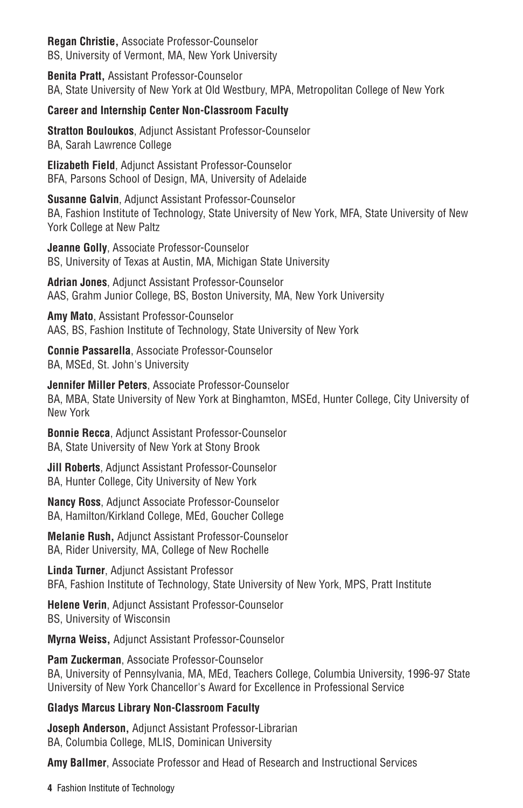**Regan Christie,** Associate Professor-Counselor BS, University of Vermont, MA, New York University

**Benita Pratt,** Assistant Professor-Counselor BA, State University of New York at Old Westbury, MPA, Metropolitan College of New York

#### **Career and Internship Center Non-Classroom Faculty**

**Stratton Bouloukos**, Adjunct Assistant Professor-Counselor BA, Sarah Lawrence College

**Elizabeth Field**, Adjunct Assistant Professor-Counselor BFA, Parsons School of Design, MA, University of Adelaide

**Susanne Galvin**, Adjunct Assistant Professor-Counselor BA, Fashion Institute of Technology, State University of New York, MFA, State University of New York College at New Paltz

**Jeanne Golly**, Associate Professor-Counselor BS, University of Texas at Austin, MA, Michigan State University

**Adrian Jones**, Adjunct Assistant Professor-Counselor AAS, Grahm Junior College, BS, Boston University, MA, New York University

**Amy Mato**, Assistant Professor-Counselor AAS, BS, Fashion Institute of Technology, State University of New York

**Connie Passarella**, Associate Professor-Counselor BA, MSEd, St. John's University

**Jennifer Miller Peters**, Associate Professor-Counselor BA, MBA, State University of New York at Binghamton, MSEd, Hunter College, City University of New York

**Bonnie Recca**, Adjunct Assistant Professor-Counselor BA, State University of New York at Stony Brook

**Jill Roberts**, Adjunct Assistant Professor-Counselor BA, Hunter College, City University of New York

**Nancy Ross**, Adjunct Associate Professor-Counselor BA, Hamilton/Kirkland College, MEd, Goucher College

**Melanie Rush,** Adjunct Assistant Professor-Counselor BA, Rider University, MA, College of New Rochelle

**Linda Turner**, Adjunct Assistant Professor BFA, Fashion Institute of Technology, State University of New York, MPS, Pratt Institute

**Helene Verin**, Adjunct Assistant Professor-Counselor BS, University of Wisconsin

**Myrna Weiss,** Adjunct Assistant Professor-Counselor

**Pam Zuckerman**, Associate Professor-Counselor BA, University of Pennsylvania, MA, MEd, Teachers College, Columbia University, 1996-97 State University of New York Chancellor's Award for Excellence in Professional Service

#### **Gladys Marcus Library Non-Classroom Faculty**

**Joseph Anderson,** Adjunct Assistant Professor-Librarian BA, Columbia College, MLIS, Dominican University

**Amy Ballmer**, Associate Professor and Head of Research and Instructional Services

**4** Fashion Institute of Technology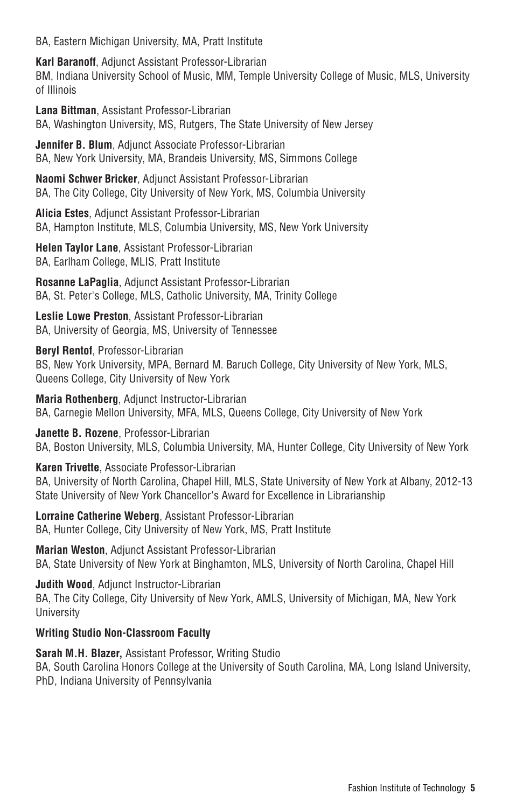BA, Eastern Michigan University, MA, Pratt Institute

**Karl Baranoff**, Adjunct Assistant Professor-Librarian BM, Indiana University School of Music, MM, Temple University College of Music, MLS, University of Illinois

**Lana Bittman**, Assistant Professor-Librarian BA, Washington University, MS, Rutgers, The State University of New Jersey

**Jennifer B. Blum**, Adjunct Associate Professor-Librarian BA, New York University, MA, Brandeis University, MS, Simmons College

**Naomi Schwer Bricker**, Adjunct Assistant Professor-Librarian BA, The City College, City University of New York, MS, Columbia University

**Alicia Estes**, Adjunct Assistant Professor-Librarian BA, Hampton Institute, MLS, Columbia University, MS, New York University

**Helen Taylor Lane**, Assistant Professor-Librarian BA, Earlham College, MLIS, Pratt Institute

**Rosanne LaPaglia**, Adjunct Assistant Professor-Librarian BA, St. Peter's College, MLS, Catholic University, MA, Trinity College

**Leslie Lowe Preston**, Assistant Professor-Librarian BA, University of Georgia, MS, University of Tennessee

**Beryl Rentof**, Professor-Librarian BS, New York University, MPA, Bernard M. Baruch College, City University of New York, MLS, Queens College, City University of New York

**Maria Rothenberg**, Adjunct Instructor-Librarian BA, Carnegie Mellon University, MFA, MLS, Queens College, City University of New York

**Janette B. Rozene**, Professor-Librarian BA, Boston University, MLS, Columbia University, MA, Hunter College, City University of New York

**Karen Trivette**, Associate Professor-Librarian BA, University of North Carolina, Chapel Hill, MLS, State University of New York at Albany, 2012-13 State University of New York Chancellor's Award for Excellence in Librarianship

**Lorraine Catherine Weberg**, Assistant Professor-Librarian BA, Hunter College, City University of New York, MS, Pratt Institute

**Marian Weston**, Adjunct Assistant Professor-Librarian BA, State University of New York at Binghamton, MLS, University of North Carolina, Chapel Hill

**Judith Wood**, Adjunct Instructor-Librarian BA, The City College, City University of New York, AMLS, University of Michigan, MA, New York University

#### **Writing Studio Non-Classroom Faculty**

**Sarah M.H. Blazer,** Assistant Professor, Writing Studio BA, South Carolina Honors College at the University of South Carolina, MA, Long Island University, PhD, Indiana University of Pennsylvania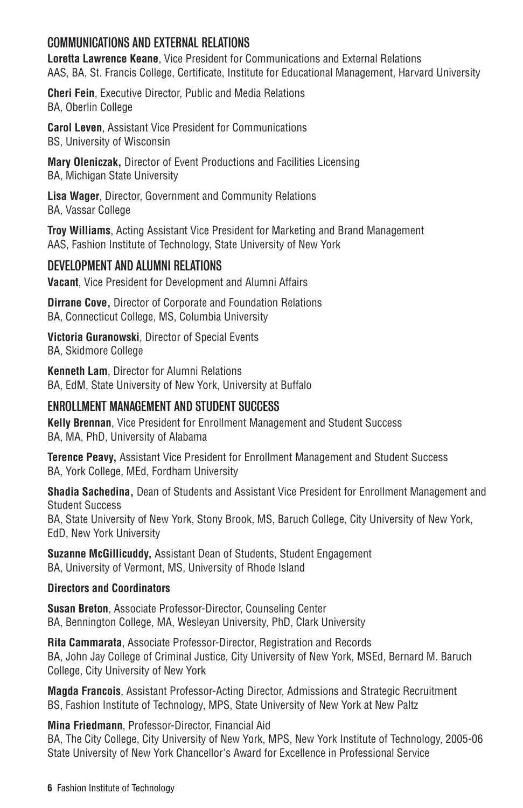# COMMUNICATIONS AND EXTERNAL RELATIONS

**Loretta Lawrence Keane**, Vice President for Communications and External Relations AAS, BA, St. Francis College, Certificate, Institute for Educational Management, Harvard University

**Cheri Fein**, Executive Director, Public and Media Relations BA, Oberlin College

**Carol Leven**, Assistant Vice President for Communications BS, University of Wisconsin

**Mary Oleniczak,** Director of Event Productions and Facilities Licensing BA, Michigan State University

**Lisa Wager**, Director, Government and Community Relations BA, Vassar College

**Troy Williams**, Acting Assistant Vice President for Marketing and Brand Management AAS, Fashion Institute of Technology, State University of New York

# DEVELOPMENT AND ALUMNI RELATIONS

**Vacant**, Vice President for Development and Alumni Affairs

**Dirrane Cove,** Director of Corporate and Foundation Relations BA, Connecticut College, MS, Columbia University

**Victoria Guranowski**, Director of Special Events BA, Skidmore College

**Kenneth Lam**, Director for Alumni Relations BA, EdM, State University of New York, University at Buffalo

# ENROLLMENT MANAGEMENT AND STUDENT SUCCESS

**Kelly Brennan**, Vice President for Enrollment Management and Student Success BA, MA, PhD, University of Alabama

**Terence Peavy,** Assistant Vice President for Enrollment Management and Student Success BA, York College, MEd, Fordham University

**Shadia Sachedina,** Dean of Students and Assistant Vice President for Enrollment Management and Student Success

BA, State University of New York, Stony Brook, MS, Baruch College, City University of New York, EdD, New York University

**Suzanne McGillicuddy,** Assistant Dean of Students, Student Engagement BA, University of Vermont, MS, University of Rhode Island

#### **Directors and Coordinators**

**Susan Breton**, Associate Professor-Director, Counseling Center BA, Bennington College, MA, Wesleyan University, PhD, Clark University

**Rita Cammarata**, Associate Professor-Director, Registration and Records BA, John Jay College of Criminal Justice, City University of New York, MSEd, Bernard M. Baruch College, City University of New York

**Magda Francois**, Assistant Professor-Acting Director, Admissions and Strategic Recruitment BS, Fashion Institute of Technology, MPS, State University of New York at New Paltz

**Mina Friedmann**, Professor-Director, Financial Aid

BA, The City College, City University of New York, MPS, New York Institute of Technology, 2005-06 State University of New York Chancellor's Award for Excellence in Professional Service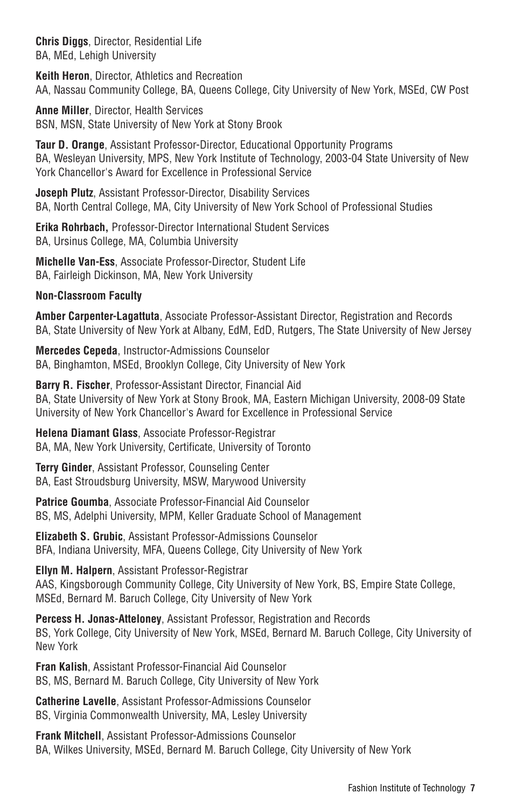**Chris Diggs**, Director, Residential Life BA, MEd, Lehigh University

**Keith Heron**, Director, Athletics and Recreation AA, Nassau Community College, BA, Queens College, City University of New York, MSEd, CW Post

**Anne Miller**, Director, Health Services BSN, MSN, State University of New York at Stony Brook

**Taur D. Orange**, Assistant Professor-Director, Educational Opportunity Programs BA, Wesleyan University, MPS, New York Institute of Technology, 2003-04 State University of New York Chancellor's Award for Excellence in Professional Service

**Joseph Plutz**, Assistant Professor-Director, Disability Services BA, North Central College, MA, City University of New York School of Professional Studies

**Erika Rohrbach,** Professor-Director International Student Services BA, Ursinus College, MA, Columbia University

**Michelle Van-Ess**, Associate Professor-Director, Student Life BA, Fairleigh Dickinson, MA, New York University

#### **Non-Classroom Faculty**

**Amber Carpenter-Lagattuta**, Associate Professor-Assistant Director, Registration and Records BA, State University of New York at Albany, EdM, EdD, Rutgers, The State University of New Jersey

**Mercedes Cepeda**, Instructor-Admissions Counselor BA, Binghamton, MSEd, Brooklyn College, City University of New York

**Barry R. Fischer**, Professor-Assistant Director, Financial Aid BA, State University of New York at Stony Brook, MA, Eastern Michigan University, 2008-09 State University of New York Chancellor's Award for Excellence in Professional Service

**Helena Diamant Glass**, Associate Professor-Registrar BA, MA, New York University, Certificate, University of Toronto

**Terry Ginder**, Assistant Professor, Counseling Center BA, East Stroudsburg University, MSW, Marywood University

**Patrice Goumba**, Associate Professor-Financial Aid Counselor BS, MS, Adelphi University, MPM, Keller Graduate School of Management

**Elizabeth S. Grubic**, Assistant Professor-Admissions Counselor BFA, Indiana University, MFA, Queens College, City University of New York

**Ellyn M. Halpern**, Assistant Professor-Registrar AAS, Kingsborough Community College, City University of New York, BS, Empire State College, MSEd, Bernard M. Baruch College, City University of New York

**Percess H. Jonas-Atteloney**, Assistant Professor, Registration and Records BS, York College, City University of New York, MSEd, Bernard M. Baruch College, City University of New York

**Fran Kalish**, Assistant Professor-Financial Aid Counselor BS, MS, Bernard M. Baruch College, City University of New York

**Catherine Lavelle**, Assistant Professor-Admissions Counselor BS, Virginia Commonwealth University, MA, Lesley University

**Frank Mitchell**, Assistant Professor-Admissions Counselor BA, Wilkes University, MSEd, Bernard M. Baruch College, City University of New York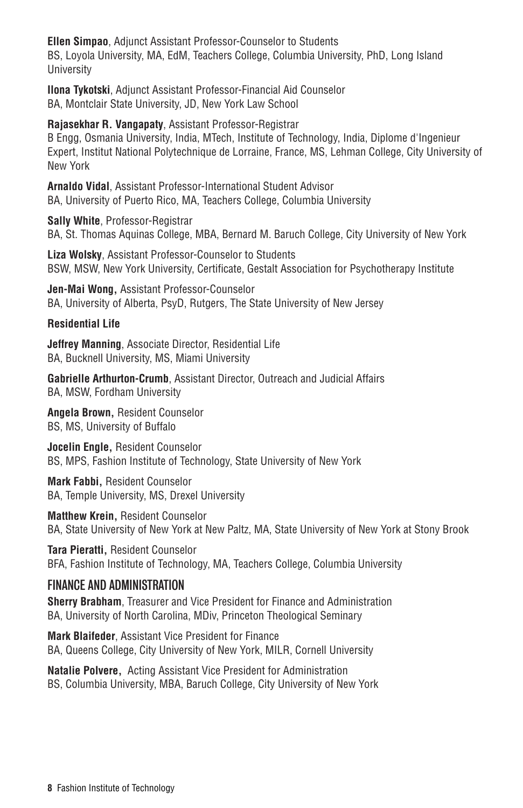**Ellen Simpao**, Adjunct Assistant Professor-Counselor to Students BS, Loyola University, MA, EdM, Teachers College, Columbia University, PhD, Long Island University

**Ilona Tykotski**, Adjunct Assistant Professor-Financial Aid Counselor BA, Montclair State University, JD, New York Law School

**Rajasekhar R. Vangapaty**, Assistant Professor-Registrar B Engg, Osmania University, India, MTech, Institute of Technology, India, Diplome d'Ingenieur Expert, Institut National Polytechnique de Lorraine, France, MS, Lehman College, City University of New York

**Arnaldo Vidal**, Assistant Professor-International Student Advisor BA, University of Puerto Rico, MA, Teachers College, Columbia University

**Sally White**, Professor-Registrar BA, St. Thomas Aquinas College, MBA, Bernard M. Baruch College, City University of New York

**Liza Wolsky**, Assistant Professor-Counselor to Students BSW, MSW, New York University, Certificate, Gestalt Association for Psychotherapy Institute

**Jen-Mai Wong,** Assistant Professor-Counselor BA, University of Alberta, PsyD, Rutgers, The State University of New Jersey

#### **Residential Life**

**Jeffrey Manning**, Associate Director, Residential Life BA, Bucknell University, MS, Miami University

**Gabrielle Arthurton-Crumb**, Assistant Director, Outreach and Judicial Affairs BA, MSW, Fordham University

**Angela Brown,** Resident Counselor BS, MS, University of Buffalo

**Jocelin Engle,** Resident Counselor BS, MPS, Fashion Institute of Technology, State University of New York

**Mark Fabbi,** Resident Counselor BA, Temple University, MS, Drexel University

**Matthew Krein,** Resident Counselor BA, State University of New York at New Paltz, MA, State University of New York at Stony Brook

**Tara Pieratti,** Resident Counselor BFA, Fashion Institute of Technology, MA, Teachers College, Columbia University

## FINANCE AND ADMINISTRATION

**Sherry Brabham**, Treasurer and Vice President for Finance and Administration BA, University of North Carolina, MDiv, Princeton Theological Seminary

**Mark Blaifeder**, Assistant Vice President for Finance BA, Queens College, City University of New York, MILR, Cornell University

**Natalie Polvere,** Acting Assistant Vice President for Administration BS, Columbia University, MBA, Baruch College, City University of New York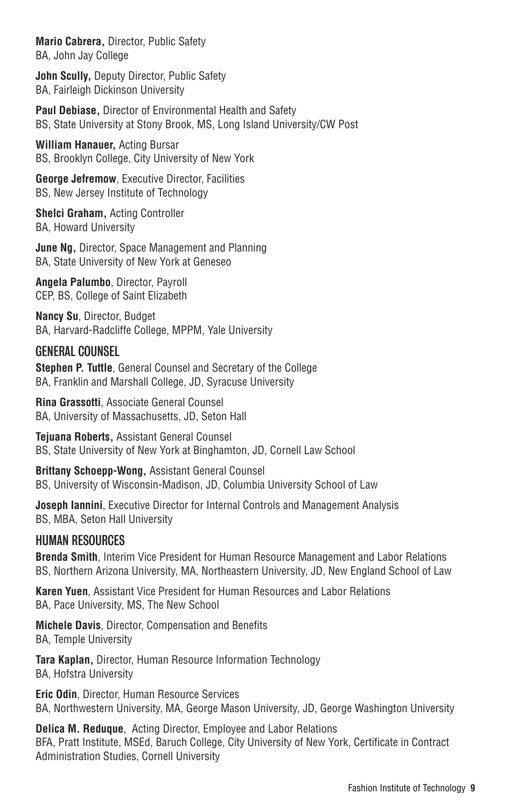**Mario Cabrera,** Director, Public Safety BA, John Jay College

**John Scully,** Deputy Director, Public Safety BA, Fairleigh Dickinson University

**Paul Debiase,** Director of Environmental Health and Safety BS, State University at Stony Brook, MS, Long Island University/CW Post

**William Hanauer,** Acting Bursar BS, Brooklyn College, City University of New York

**George Jefremow**, Executive Director, Facilities BS, New Jersey Institute of Technology

**Shelci Graham,** Acting Controller BA, Howard University

**June Ng,** Director, Space Management and Planning BA, State University of New York at Geneseo

**Angela Palumbo**, Director, Payroll CEP, BS, College of Saint Elizabeth

**Nancy Su**, Director, Budget BA, Harvard-Radcliffe College, MPPM, Yale University

# GENERAL COUNSEL

**Stephen P. Tuttle**, General Counsel and Secretary of the College BA, Franklin and Marshall College, JD, Syracuse University

**Rina Grassotti**, Associate General Counsel BA, University of Massachusetts, JD, Seton Hall

**Tejuana Roberts,** Assistant General Counsel BS, State University of New York at Binghamton, JD, Cornell Law School

**Brittany Schoepp-Wong,** Assistant General Counsel BS, University of Wisconsin-Madison, JD, Columbia University School of Law

**Joseph Iannini**, Executive Director for Internal Controls and Management Analysis BS, MBA, Seton Hall University

## HUMAN RESOURCES

**Brenda Smith**, Interim Vice President for Human Resource Management and Labor Relations BS, Northern Arizona University, MA, Northeastern University, JD, New England School of Law

**Karen Yuen**, Assistant Vice President for Human Resources and Labor Relations BA, Pace University, MS, The New School

**Michele Davis**, Director, Compensation and Benefits BA, Temple University

**Tara Kaplan,** Director, Human Resource Information Technology BA, Hofstra University

**Eric Odin**, Director, Human Resource Services BA, Northwestern University, MA, George Mason University, JD, George Washington University

**Delica M. Reduque**, Acting Director, Employee and Labor Relations BFA, Pratt Institute, MSEd, Baruch College, City University of New York, Certificate in Contract Administration Studies, Cornell University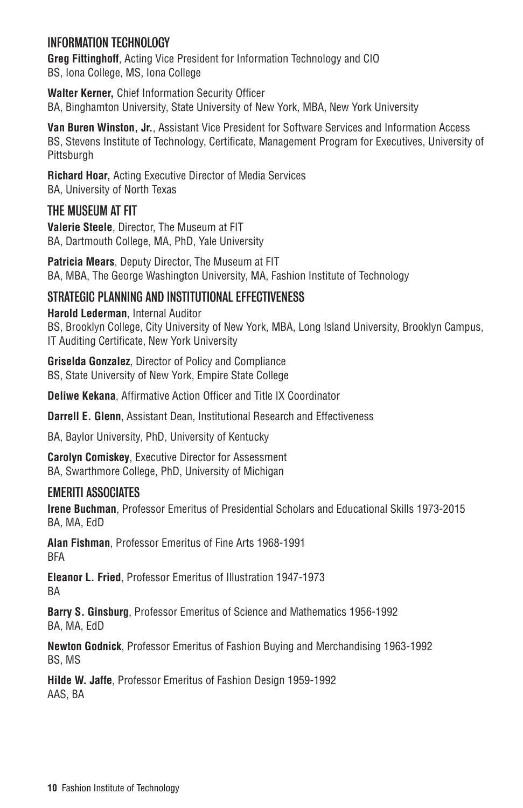# INFORMATION TECHNOLOGY

**Greg Fittinghoff**, Acting Vice President for Information Technology and CIO BS, Iona College, MS, Iona College

**Walter Kerner,** Chief Information Security Officer BA, Binghamton University, State University of New York, MBA, New York University

**Van Buren Winston, Jr.**, Assistant Vice President for Software Services and Information Access BS, Stevens Institute of Technology, Certificate, Management Program for Executives, University of **Pittsburgh** 

**Richard Hoar,** Acting Executive Director of Media Services BA, University of North Texas

# THE MUSEUM AT FIT

**Valerie Steele**, Director, The Museum at FIT BA, Dartmouth College, MA, PhD, Yale University

**Patricia Mears**, Deputy Director, The Museum at FIT BA, MBA, The George Washington University, MA, Fashion Institute of Technology

# STRATEGIC PLANNING AND INSTITUTIONAL EFFECTIVENESS

**Harold Lederman**, Internal Auditor BS, Brooklyn College, City University of New York, MBA, Long Island University, Brooklyn Campus, IT Auditing Certificate, New York University

**Griselda Gonzalez**, Director of Policy and Compliance BS, State University of New York, Empire State College

**Deliwe Kekana**, Affirmative Action Officer and Title IX Coordinator

**Darrell E. Glenn**, Assistant Dean, Institutional Research and Effectiveness

BA, Baylor University, PhD, University of Kentucky

**Carolyn Comiskey**, Executive Director for Assessment BA, Swarthmore College, PhD, University of Michigan

## EMERITI ASSOCIATES

**Irene Buchman**, Professor Emeritus of Presidential Scholars and Educational Skills 1973-2015 BA, MA, EdD

**Alan Fishman**, Professor Emeritus of Fine Arts 1968-1991 BFA

**Eleanor L. Fried**, Professor Emeritus of Illustration 1947-1973 BA

**Barry S. Ginsburg**, Professor Emeritus of Science and Mathematics 1956-1992 BA, MA, EdD

**Newton Godnick**, Professor Emeritus of Fashion Buying and Merchandising 1963-1992 BS, MS

**Hilde W. Jaffe**, Professor Emeritus of Fashion Design 1959-1992 AAS, BA